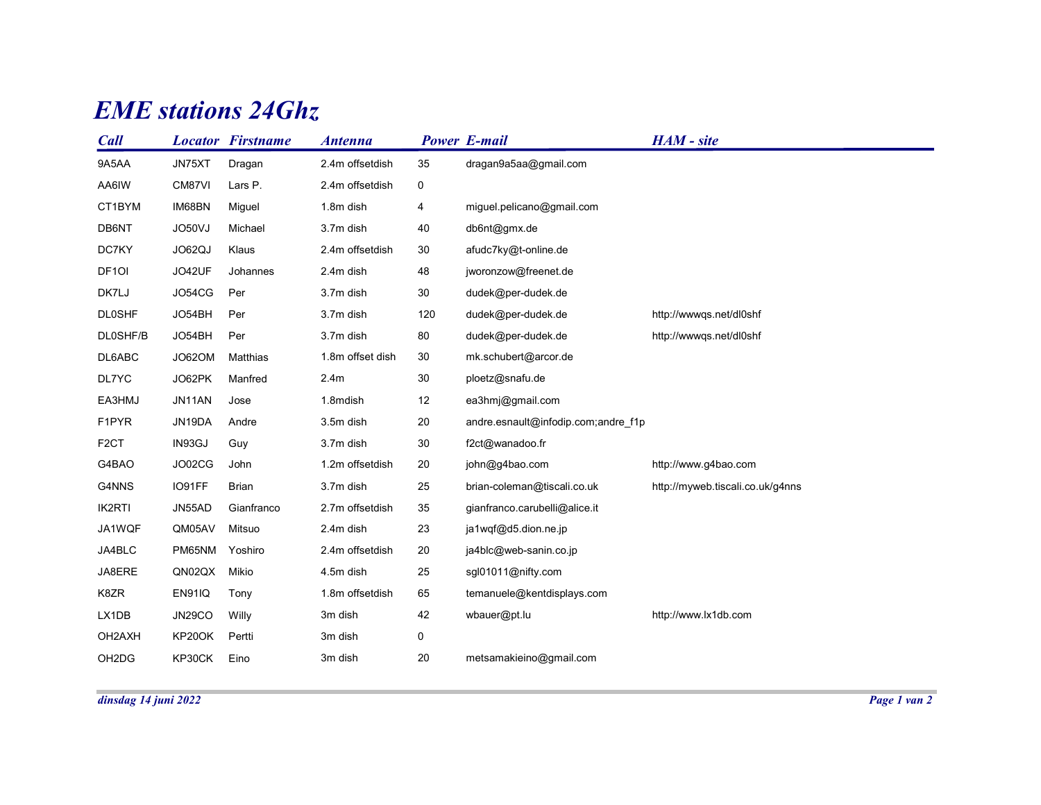## **EME** stations 24Ghz

|                   |               | <b>EME</b> stations 24Ghz. |                  |             |                                     |                                  |  |  |  |  |  |  |
|-------------------|---------------|----------------------------|------------------|-------------|-------------------------------------|----------------------------------|--|--|--|--|--|--|
| Call              |               | <b>Locator Firstname</b>   | <b>Antenna</b>   |             | <b>Power E-mail</b>                 | HAM - site                       |  |  |  |  |  |  |
| 9A5AA             | JN75XT        | Dragan                     | 2.4m offsetdish  | 35          | dragan9a5aa@gmail.com               |                                  |  |  |  |  |  |  |
| AA6IW             | CM87VI        | Lars P.                    | 2.4m offsetdish  | 0           |                                     |                                  |  |  |  |  |  |  |
| CT1BYM            | IM68BN        | Miguel                     | 1.8m dish        | 4           | miguel.pelicano@gmail.com           |                                  |  |  |  |  |  |  |
| DB6NT             | JO50VJ        | Michael                    | 3.7m dish        | 40          | db6nt@gmx.de                        |                                  |  |  |  |  |  |  |
| DC7KY             | JO62QJ        | Klaus                      | 2.4m offsetdish  | 30          | afudc7ky@t-online.de                |                                  |  |  |  |  |  |  |
| DF <sub>10</sub>  | JO42UF        | Johannes                   | 2.4m dish        | 48          | jworonzow@freenet.de                |                                  |  |  |  |  |  |  |
| DK7LJ             | JO54CG        | Per                        | 3.7m dish        | 30          | dudek@per-dudek.de                  |                                  |  |  |  |  |  |  |
| <b>DL0SHF</b>     | JO54BH        | Per                        | 3.7m dish        | 120         | dudek@per-dudek.de                  | http://wwwqs.net/dl0shf          |  |  |  |  |  |  |
| DL0SHF/B          | JO54BH        | Per                        | 3.7m dish        | 80          | dudek@per-dudek.de                  | http://wwwqs.net/dl0shf          |  |  |  |  |  |  |
| DL6ABC            | JO62OM        | Matthias                   | 1.8m offset dish | 30          | mk.schubert@arcor.de                |                                  |  |  |  |  |  |  |
| DL7YC             | JO62PK        | Manfred                    | 2.4m             | 30          | ploetz@snafu.de                     |                                  |  |  |  |  |  |  |
| EA3HMJ            | JN11AN        | Jose                       | 1.8mdish         | 12          | ea3hmj@gmail.com                    |                                  |  |  |  |  |  |  |
| F1PYR             | JN19DA        | Andre                      | 3.5m dish        | 20          | andre.esnault@infodip.com;andre_f1p |                                  |  |  |  |  |  |  |
| F <sub>2</sub> CT | IN93GJ        | Guy                        | 3.7m dish        | 30          | f2ct@wanadoo.fr                     |                                  |  |  |  |  |  |  |
| G4BAO             | JO02CG        | John                       | 1.2m offsetdish  | 20          | john@g4bao.com                      | http://www.g4bao.com             |  |  |  |  |  |  |
| G4NNS             | IO91FF        | Brian                      | 3.7m dish        | 25          | brian-coleman@tiscali.co.uk         | http://myweb.tiscali.co.uk/g4nns |  |  |  |  |  |  |
| IK2RTI            | JN55AD        | Gianfranco                 | 2.7m offsetdish  | 35          | gianfranco.carubelli@alice.it       |                                  |  |  |  |  |  |  |
| JA1WQF            | QM05AV        | Mitsuo                     | 2.4m dish        | 23          | ja1wqf@d5.dion.ne.jp                |                                  |  |  |  |  |  |  |
| JA4BLC            | PM65NM        | Yoshiro                    | 2.4m offsetdish  | 20          | ja4blc@web-sanin.co.jp              |                                  |  |  |  |  |  |  |
| JA8ERE            | QN02QX Mikio  |                            | 4.5m dish        | 25          | sgl01011@nifty.com                  |                                  |  |  |  |  |  |  |
| K8ZR              | <b>EN91IQ</b> | Tony                       | 1.8m offsetdish  | 65          | temanuele@kentdisplays.com          |                                  |  |  |  |  |  |  |
| LX1DB             | <b>JN29CO</b> | Willy                      | 3m dish          | 42          | wbauer@pt.lu                        | http://www.lx1db.com             |  |  |  |  |  |  |
| OH2AXH            | KP20OK        | Pertti                     | 3m dish          | $\mathbf 0$ |                                     |                                  |  |  |  |  |  |  |
|                   | KP30CK        | Eino                       | 3m dish          | 20          | metsamakieino@gmail.com             |                                  |  |  |  |  |  |  |